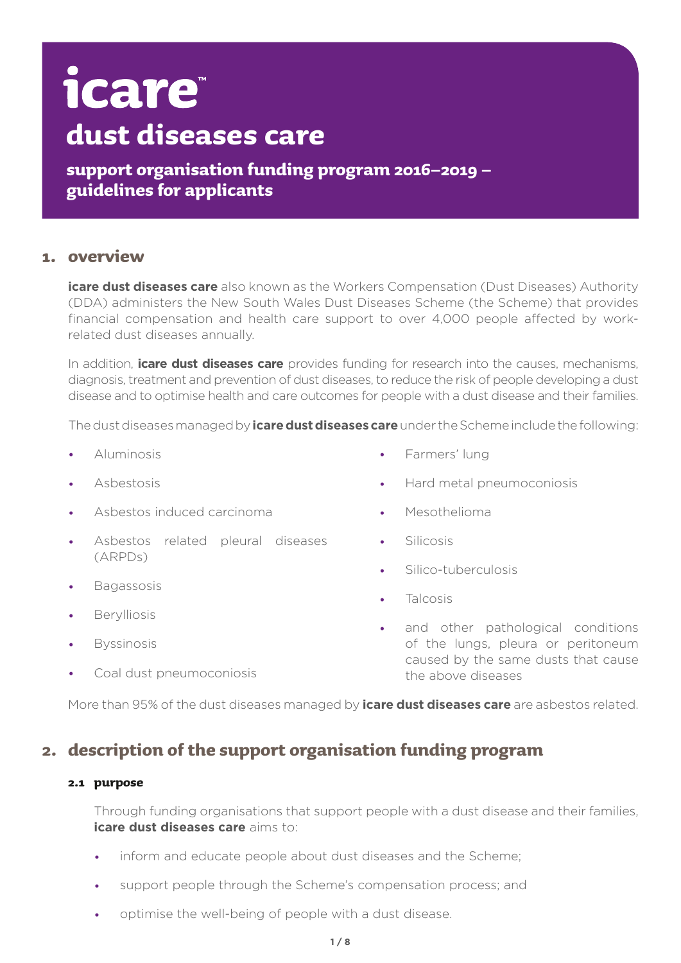# icare **dust diseases care**

**support organisation funding program 2016–2019 – guidelines for applicants**

# **1. overview**

**icare dust diseases care** also known as the Workers Compensation (Dust Diseases) Authority (DDA) administers the New South Wales Dust Diseases Scheme (the Scheme) that provides financial compensation and health care support to over 4,000 people affected by workrelated dust diseases annually.

In addition, **icare dust diseases care** provides funding for research into the causes, mechanisms, diagnosis, treatment and prevention of dust diseases, to reduce the risk of people developing a dust disease and to optimise health and care outcomes for people with a dust disease and their families.

The dust diseases managed by **icare dust diseases care** under the Scheme include the following:

- **Aluminosis**
- Ashestosis
- Asbestos induced carcinoma
- Asbestos related pleural diseases (ARPDs)
- **Bagassosis**
- **Berylliosis**
- **Byssinosis**
- Coal dust pneumoconiosis
- **Farmers' lung**
- Hard metal pneumoconiosis
- **Mesothelioma**
- **Silicosis**
- Silico-tuberculosis
- **Talcosis**
- and other pathological conditions of the lungs, pleura or peritoneum caused by the same dusts that cause the above diseases

More than 95% of the dust diseases managed by **icare dust diseases care** are asbestos related.

# **2. description of the support organisation funding program**

# **2.1 purpose**

Through funding organisations that support people with a dust disease and their families, **icare dust diseases care** aims to:

- inform and educate people about dust diseases and the Scheme;
- support people through the Scheme's compensation process; and
- optimise the well-being of people with a dust disease.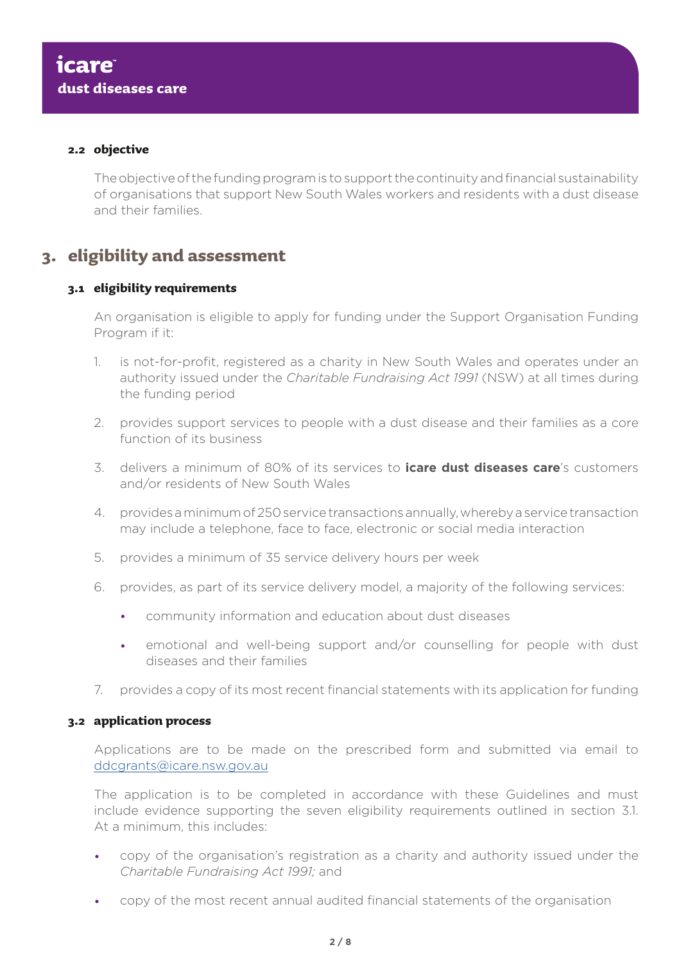# **2.2 objective**

The objective of the funding program is to support the continuity and financial sustainability of organisations that support New South Wales workers and residents with a dust disease and their families.

# **3. eligibility and assessment**

# **3.1 eligibility requirements**

An organisation is eligible to apply for funding under the Support Organisation Funding Program if it:

- 1. is not-for-profit, registered as a charity in New South Wales and operates under an authority issued under the *Charitable Fundraising Act 1991* (NSW) at all times during the funding period
- 2. provides support services to people with a dust disease and their families as a core function of its business
- 3. delivers a minimum of 80% of its services to **icare dust diseases care**'s customers and/or residents of New South Wales
- 4. provides a minimum of 250 service transactions annually, whereby a service transaction may include a telephone, face to face, electronic or social media interaction
- 5. provides a minimum of 35 service delivery hours per week
- 6. provides, as part of its service delivery model, a majority of the following services:
	- community information and education about dust diseases
	- emotional and well-being support and/or counselling for people with dust diseases and their families
- 7. provides a copy of its most recent financial statements with its application for funding

# **3.2 application process**

Applications are to be made on the prescribed form and submitted via email to [ddcgrants@icare.nsw.gov.au](mailto:ddcgrants%40icare.nsw.gov.au?subject=)

The application is to be completed in accordance with these Guidelines and must include evidence supporting the seven eligibility requirements outlined in section 3.1. At a minimum, this includes:

- copy of the organisation's registration as a charity and authority issued under the *Charitable Fundraising Act 1991;* and
- copy of the most recent annual audited financial statements of the organisation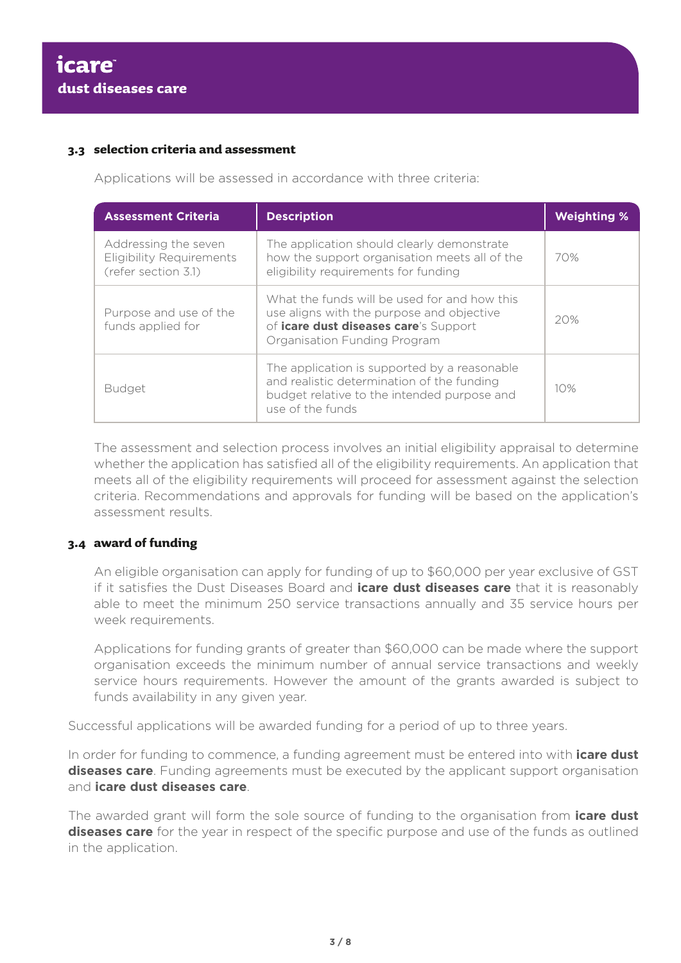# **3.3 selection criteria and assessment**

Applications will be assessed in accordance with three criteria:

| <b>Assessment Criteria</b>                                                     | <b>Description</b>                                                                                                                                                        | <b>Weighting %</b> |
|--------------------------------------------------------------------------------|---------------------------------------------------------------------------------------------------------------------------------------------------------------------------|--------------------|
| Addressing the seven<br><b>Eligibility Requirements</b><br>(refer section 3.1) | The application should clearly demonstrate<br>how the support organisation meets all of the<br>eligibility requirements for funding                                       | 70%                |
| Purpose and use of the<br>funds applied for                                    | What the funds will be used for and how this<br>use aligns with the purpose and objective<br>of <i>icare dust diseases care's</i> Support<br>Organisation Funding Program | 20%                |
| <b>Budget</b>                                                                  | The application is supported by a reasonable<br>and realistic determination of the funding<br>budget relative to the intended purpose and<br>use of the funds             | 10%                |

The assessment and selection process involves an initial eligibility appraisal to determine whether the application has satisfied all of the eligibility requirements. An application that meets all of the eligibility requirements will proceed for assessment against the selection criteria. Recommendations and approvals for funding will be based on the application's assessment results.

# **3.4 award of funding**

An eligible organisation can apply for funding of up to \$60,000 per year exclusive of GST if it satisfies the Dust Diseases Board and **icare dust diseases care** that it is reasonably able to meet the minimum 250 service transactions annually and 35 service hours per week requirements.

Applications for funding grants of greater than \$60,000 can be made where the support organisation exceeds the minimum number of annual service transactions and weekly service hours requirements. However the amount of the grants awarded is subject to funds availability in any given year.

Successful applications will be awarded funding for a period of up to three years.

In order for funding to commence, a funding agreement must be entered into with **icare dust diseases care**. Funding agreements must be executed by the applicant support organisation and **icare dust diseases care**.

The awarded grant will form the sole source of funding to the organisation from **icare dust diseases care** for the year in respect of the specific purpose and use of the funds as outlined in the application.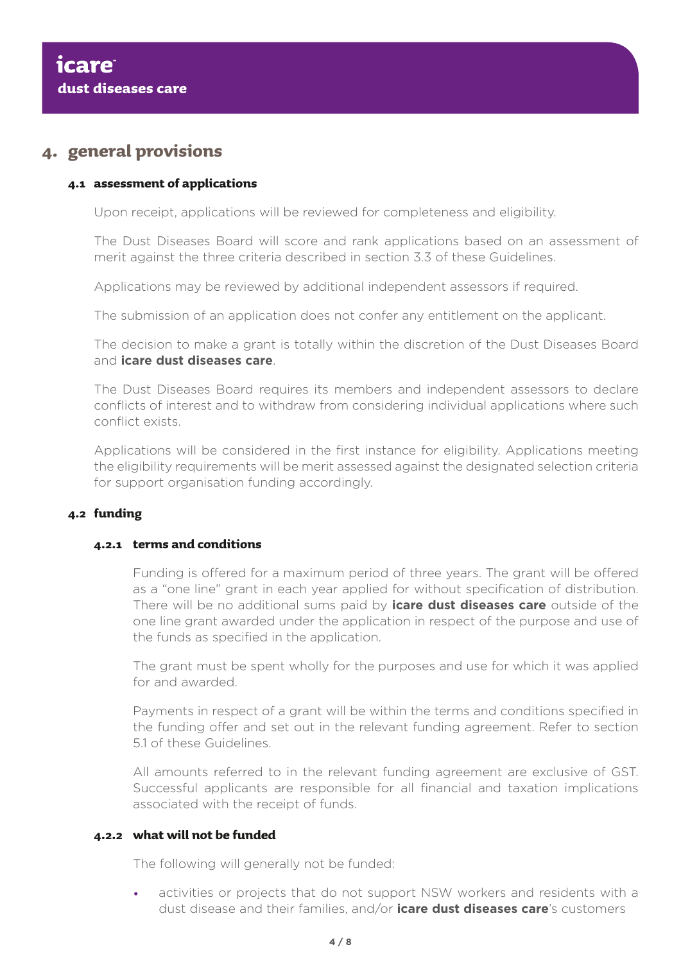# **4. general provisions**

# **4.1 assessment of applications**

Upon receipt, applications will be reviewed for completeness and eligibility.

The Dust Diseases Board will score and rank applications based on an assessment of merit against the three criteria described in section 3.3 of these Guidelines.

Applications may be reviewed by additional independent assessors if required.

The submission of an application does not confer any entitlement on the applicant.

The decision to make a grant is totally within the discretion of the Dust Diseases Board and **icare dust diseases care**.

The Dust Diseases Board requires its members and independent assessors to declare conflicts of interest and to withdraw from considering individual applications where such conflict exists.

Applications will be considered in the first instance for eligibility. Applications meeting the eligibility requirements will be merit assessed against the designated selection criteria for support organisation funding accordingly.

# **4.2 funding**

# **4.2.1 terms and conditions**

Funding is offered for a maximum period of three years. The grant will be offered as a "one line" grant in each year applied for without specification of distribution. There will be no additional sums paid by **icare dust diseases care** outside of the one line grant awarded under the application in respect of the purpose and use of the funds as specified in the application.

The grant must be spent wholly for the purposes and use for which it was applied for and awarded.

Payments in respect of a grant will be within the terms and conditions specified in the funding offer and set out in the relevant funding agreement. Refer to section 5.1 of these Guidelines.

All amounts referred to in the relevant funding agreement are exclusive of GST. Successful applicants are responsible for all financial and taxation implications associated with the receipt of funds.

# **4.2.2 what will not be funded**

The following will generally not be funded:

activities or projects that do not support NSW workers and residents with a dust disease and their families, and/or **icare dust diseases care**'s customers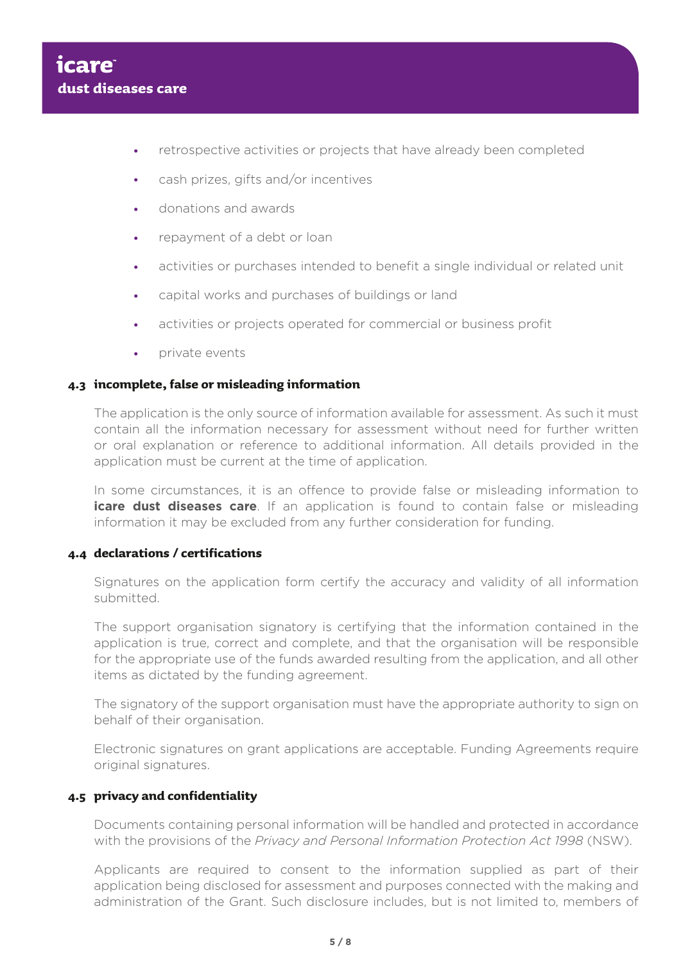- retrospective activities or projects that have already been completed
- cash prizes, gifts and/or incentives
- donations and awards
- repayment of a debt or loan
- activities or purchases intended to benefit a single individual or related unit
- • capital works and purchases of buildings or land
- activities or projects operated for commercial or business profit
- **private events**

# **4.3 incomplete, false or misleading information**

The application is the only source of information available for assessment. As such it must contain all the information necessary for assessment without need for further written or oral explanation or reference to additional information. All details provided in the application must be current at the time of application.

In some circumstances, it is an offence to provide false or misleading information to **icare dust diseases care**. If an application is found to contain false or misleading information it may be excluded from any further consideration for funding.

# **4.4 declarations / certifications**

Signatures on the application form certify the accuracy and validity of all information submitted.

The support organisation signatory is certifying that the information contained in the application is true, correct and complete, and that the organisation will be responsible for the appropriate use of the funds awarded resulting from the application, and all other items as dictated by the funding agreement.

The signatory of the support organisation must have the appropriate authority to sign on behalf of their organisation.

Electronic signatures on grant applications are acceptable. Funding Agreements require original signatures.

# **4.5 privacy and confidentiality**

Documents containing personal information will be handled and protected in accordance with the provisions of the *Privacy and Personal Information Protection Act 1998* (NSW).

Applicants are required to consent to the information supplied as part of their application being disclosed for assessment and purposes connected with the making and administration of the Grant. Such disclosure includes, but is not limited to, members of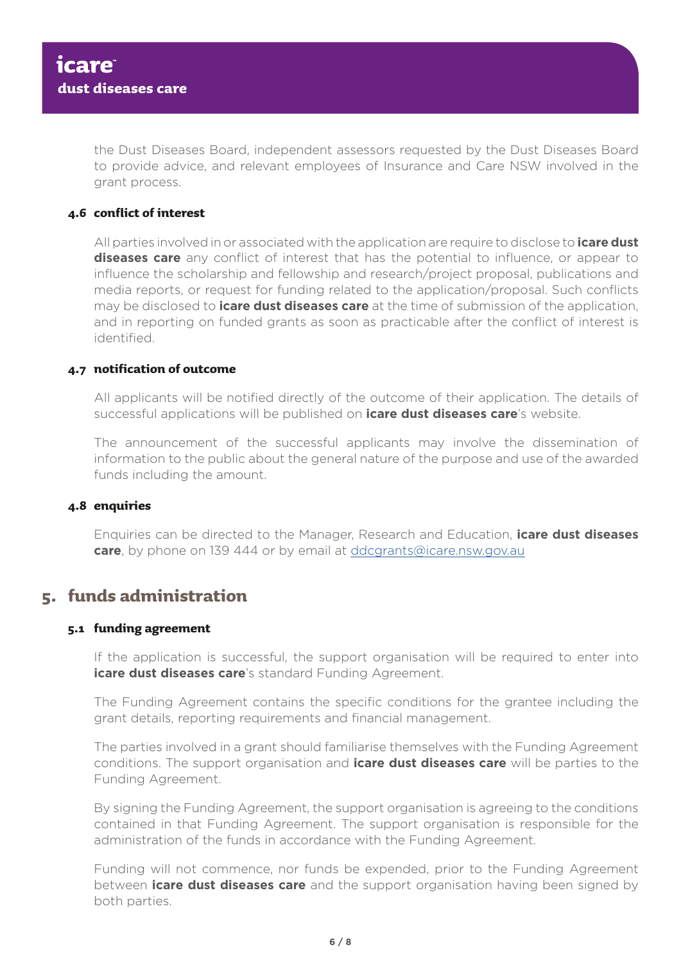the Dust Diseases Board, independent assessors requested by the Dust Diseases Board to provide advice, and relevant employees of Insurance and Care NSW involved in the grant process.

# **4.6 conflict of interest**

All parties involved in or associated with the application are require to disclose to **icare dust diseases care** any conflict of interest that has the potential to influence, or appear to influence the scholarship and fellowship and research/project proposal, publications and media reports, or request for funding related to the application/proposal. Such conflicts may be disclosed to **icare dust diseases care** at the time of submission of the application, and in reporting on funded grants as soon as practicable after the conflict of interest is identified.

# **4.7 notification of outcome**

All applicants will be notified directly of the outcome of their application. The details of successful applications will be published on **icare dust diseases care**'s website.

The announcement of the successful applicants may involve the dissemination of information to the public about the general nature of the purpose and use of the awarded funds including the amount.

# **4.8 enquiries**

Enquiries can be directed to the Manager, Research and Education, **icare dust diseases care**, by phone on 139 444 or by email at [ddcgrants@icare.nsw.gov.au](mailto:ddcgrants%40icare.nsw.gov.au?subject=)

# **5. funds administration**

# **5.1 funding agreement**

If the application is successful, the support organisation will be required to enter into **icare dust diseases care**'s standard Funding Agreement.

The Funding Agreement contains the specific conditions for the grantee including the grant details, reporting requirements and financial management.

The parties involved in a grant should familiarise themselves with the Funding Agreement conditions. The support organisation and **icare dust diseases care** will be parties to the Funding Agreement.

By signing the Funding Agreement, the support organisation is agreeing to the conditions contained in that Funding Agreement. The support organisation is responsible for the administration of the funds in accordance with the Funding Agreement.

Funding will not commence, nor funds be expended, prior to the Funding Agreement between **icare dust diseases care** and the support organisation having been signed by both parties.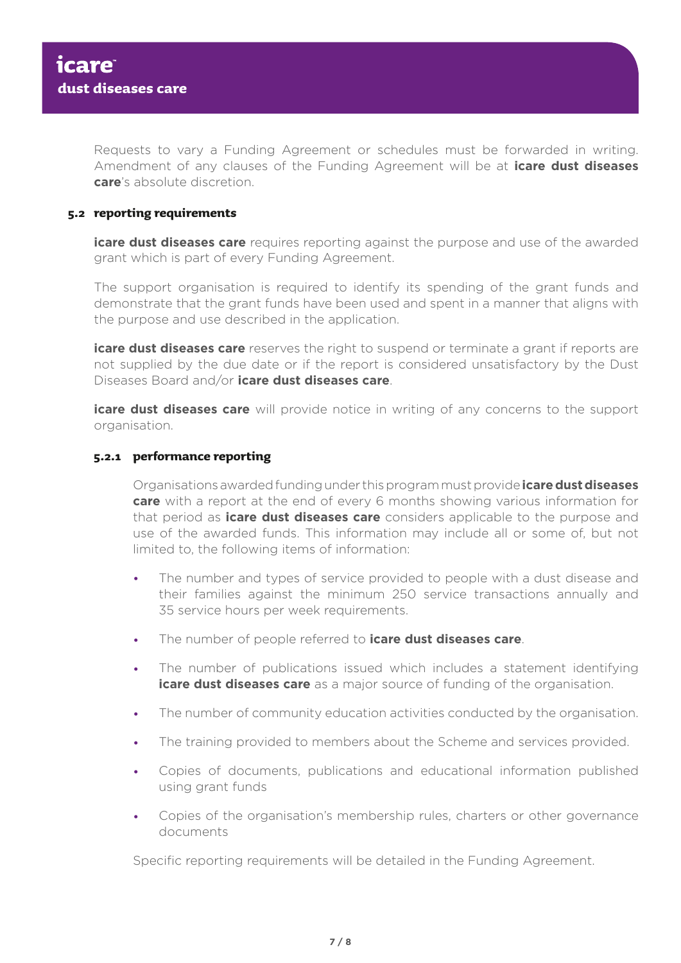Requests to vary a Funding Agreement or schedules must be forwarded in writing. Amendment of any clauses of the Funding Agreement will be at **icare dust diseases care**'s absolute discretion.

# **5.2 reporting requirements**

**icare dust diseases care** requires reporting against the purpose and use of the awarded grant which is part of every Funding Agreement.

The support organisation is required to identify its spending of the grant funds and demonstrate that the grant funds have been used and spent in a manner that aligns with the purpose and use described in the application.

**icare dust diseases care** reserves the right to suspend or terminate a grant if reports are not supplied by the due date or if the report is considered unsatisfactory by the Dust Diseases Board and/or **icare dust diseases care**.

**icare dust diseases care** will provide notice in writing of any concerns to the support organisation.

#### **5.2.1 performance reporting**

Organisations awarded funding under this program must provide **icare dust diseases care** with a report at the end of every 6 months showing various information for that period as **icare dust diseases care** considers applicable to the purpose and use of the awarded funds. This information may include all or some of, but not limited to, the following items of information:

- The number and types of service provided to people with a dust disease and their families against the minimum 250 service transactions annually and 35 service hours per week requirements.
- • The number of people referred to **icare dust diseases care**.
- The number of publications issued which includes a statement identifying **icare dust diseases care** as a major source of funding of the organisation.
- The number of community education activities conducted by the organisation.
- The training provided to members about the Scheme and services provided.
- • Copies of documents, publications and educational information published using grant funds
- • Copies of the organisation's membership rules, charters or other governance documents

Specific reporting requirements will be detailed in the Funding Agreement.